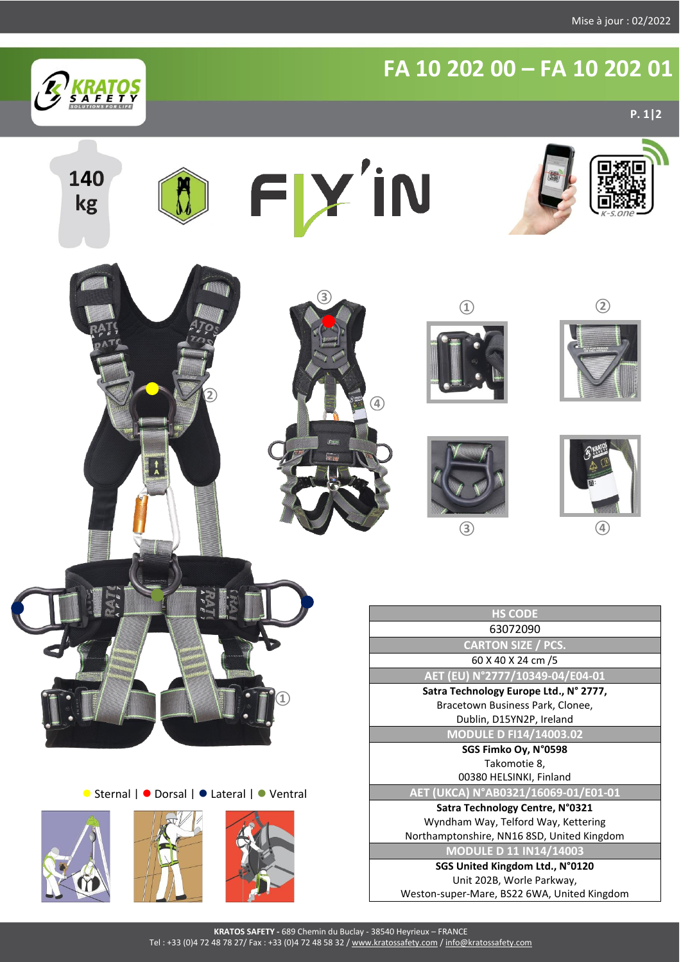

## **FA 10 202 00 – FA 10 202 01**

**P. 1|2**